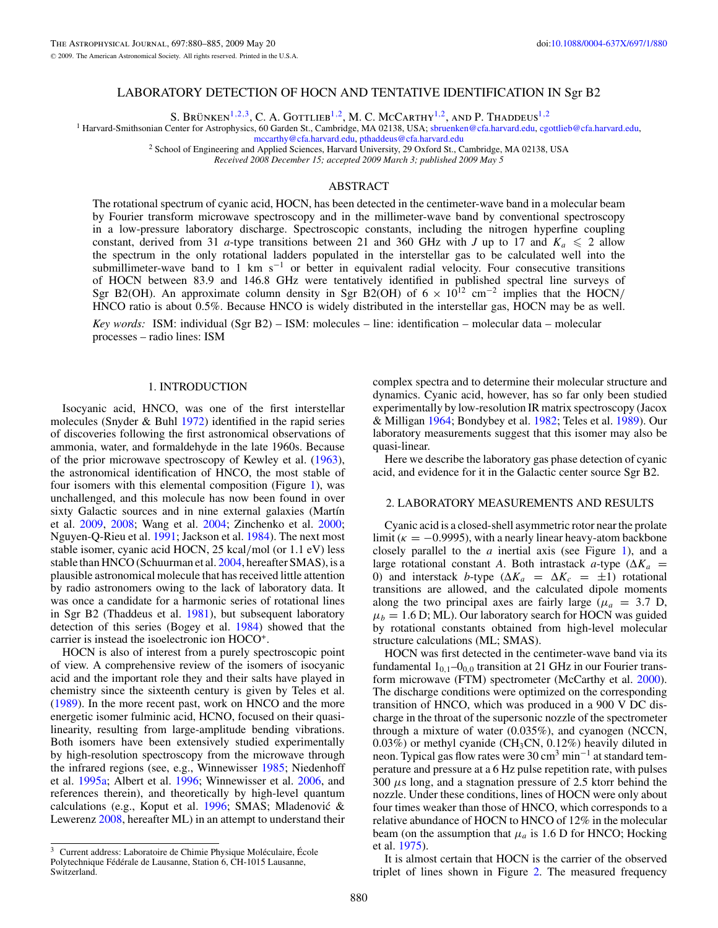# LABORATORY DETECTION OF HOCN AND TENTATIVE IDENTIFICATION IN Sgr B2

S. BRÜNKEN<sup>1,2,3</sup>, C. A. GOTTLIEB<sup>1,2</sup>, M. C. McCarthy<sup>1,2</sup>, and P. Thaddeus<sup>1,2</sup>

<sup>1</sup> Harvard-Smithsonian Center for Astrophysics, 60 Garden St., Cambridge, MA 02138, USA; [sbruenken@cfa.harvard.edu,](mailto:sbruenken@cfa.harvard.edu) [cgottlieb@cfa.harvard.edu,](mailto:cgottlieb@cfa.harvard.edu) mecarthy@cfa.harvard.edu, pthaddeus@cfa.harvard.edu

<sup>2</sup> School of Engineering and Applied Sciences, Harvard University, 29 Oxford St., Cambridge, MA 02138, USA

*Received 2008 December 15; accepted 2009 March 3; published 2009 May 5*

## ABSTRACT

The rotational spectrum of cyanic acid, HOCN, has been detected in the centimeter-wave band in a molecular beam by Fourier transform microwave spectroscopy and in the millimeter-wave band by conventional spectroscopy in a low-pressure laboratory discharge. Spectroscopic constants, including the nitrogen hyperfine coupling constant, derived from 31 *a*-type transitions between 21 and 360 GHz with *J* up to 17 and  $K_a \le 2$  allow the spectrum in the only rotational ladders populated in the interstellar gas to be calculated well into the submillimeter-wave band to 1 km s<sup>-1</sup> or better in equivalent radial velocity. Four consecutive transitions of HOCN between 83.9 and 146.8 GHz were tentatively identified in published spectral line surveys of Sgr B2(OH). An approximate column density in Sgr B2(OH) of  $6 \times 10^{12}$  cm<sup>-2</sup> implies that the HOCN/ HNCO ratio is about 0.5%. Because HNCO is widely distributed in the interstellar gas, HOCN may be as well.

*Key words:* ISM: individual (Sgr B2) – ISM: molecules – line: identification – molecular data – molecular processes – radio lines: ISM

## 1. INTRODUCTION

Isocyanic acid, HNCO, was one of the first interstellar molecules (Snyder  $&$  Buhl [1972\)](#page-5-0) identified in the rapid series of discoveries following the first astronomical observations of ammonia, water, and formaldehyde in the late 1960s. Because of the prior microwave spectroscopy of Kewley et al. [\(1963\)](#page-5-0), the astronomical identification of HNCO, the most stable of four isomers with this elemental composition (Figure [1\)](#page-1-0), was unchallenged, and this molecule has now been found in over sixty Galactic sources and in nine external galaxies (Martín et al. [2009,](#page-5-0) [2008;](#page-5-0) Wang et al. [2004;](#page-5-0) Zinchenko et al. [2000;](#page-5-0) Nguyen-Q-Rieu et al. [1991;](#page-5-0) Jackson et al. [1984\)](#page-5-0). The next most stable isomer, cyanic acid HOCN, 25 kcal*/*mol (or 1.1 eV) less stable than HNCO (Schuurman et al. [2004,](#page-5-0) hereafter SMAS), is a plausible astronomical molecule that has received little attention by radio astronomers owing to the lack of laboratory data. It was once a candidate for a harmonic series of rotational lines in Sgr B2 (Thaddeus et al. [1981\)](#page-5-0), but subsequent laboratory detection of this series (Bogey et al. [1984\)](#page-5-0) showed that the carrier is instead the isoelectronic ion HOCO+.

HOCN is also of interest from a purely spectroscopic point of view. A comprehensive review of the isomers of isocyanic acid and the important role they and their salts have played in chemistry since the sixteenth century is given by Teles et al. [\(1989\)](#page-5-0). In the more recent past, work on HNCO and the more energetic isomer fulminic acid, HCNO, focused on their quasilinearity, resulting from large-amplitude bending vibrations. Both isomers have been extensively studied experimentally by high-resolution spectroscopy from the microwave through the infrared regions (see, e.g., Winnewisser [1985;](#page-5-0) Niedenhoff et al. [1995a;](#page-5-0) Albert et al. [1996;](#page-5-0) Winnewisser et al. [2006,](#page-5-0) and references therein), and theoretically by high-level quantum calculations (e.g., Koput et al. [1996;](#page-5-0) SMAS; Mladenovic &´ Lewerenz [2008,](#page-5-0) hereafter ML) in an attempt to understand their

complex spectra and to determine their molecular structure and dynamics. Cyanic acid, however, has so far only been studied experimentally by low-resolution IR matrix spectroscopy (Jacox & Milligan [1964;](#page-5-0) Bondybey et al. [1982;](#page-5-0) Teles et al. [1989\)](#page-5-0). Our laboratory measurements suggest that this isomer may also be quasi-linear.

Here we describe the laboratory gas phase detection of cyanic acid, and evidence for it in the Galactic center source Sgr B2.

### 2. LABORATORY MEASUREMENTS AND RESULTS

Cyanic acid is a closed-shell asymmetric rotor near the prolate limit ( $\kappa = -0.9995$ ), with a nearly linear heavy-atom backbone closely parallel to the *a* inertial axis (see Figure [1\)](#page-1-0), and a large rotational constant *A*. Both intrastack *a*-type ( $\Delta K_a$  = 0) and interstack *b*-type ( $\Delta K_a = \Delta K_c = \pm 1$ ) rotational transitions are allowed, and the calculated dipole moments along the two principal axes are fairly large ( $\mu_a = 3.7$  D,  $\mu_b = 1.6$  D; ML). Our laboratory search for HOCN was guided by rotational constants obtained from high-level molecular structure calculations (ML; SMAS).

HOCN was first detected in the centimeter-wave band via its fundamental  $1_{0,1}$ – $0_{0,0}$  transition at 21 GHz in our Fourier trans-form microwave (FTM) spectrometer (McCarthy et al. [2000\)](#page-5-0). The discharge conditions were optimized on the corresponding transition of HNCO, which was produced in a 900 V DC discharge in the throat of the supersonic nozzle of the spectrometer through a mixture of water (0.035%), and cyanogen (NCCN,  $0.03\%$ ) or methyl cyanide (CH<sub>3</sub>CN,  $0.12\%$ ) heavily diluted in neon. Typical gas flow rates were 30 cm<sup>3</sup> min<sup>-1</sup> at standard temperature and pressure at a 6 Hz pulse repetition rate, with pulses 300 *μ*s long, and a stagnation pressure of 2.5 ktorr behind the nozzle. Under these conditions, lines of HOCN were only about four times weaker than those of HNCO, which corresponds to a relative abundance of HOCN to HNCO of 12% in the molecular beam (on the assumption that  $\mu_a$  is 1.6 D for HNCO; Hocking et al. [1975\)](#page-5-0).

It is almost certain that HOCN is the carrier of the observed triplet of lines shown in Figure [2.](#page-1-0) The measured frequency

 $3$  Current address: Laboratoire de Chimie Physique Moléculaire, École Polytechnique Fédérale de Lausanne, Station 6, CH-1015 Lausanne, Switzerland.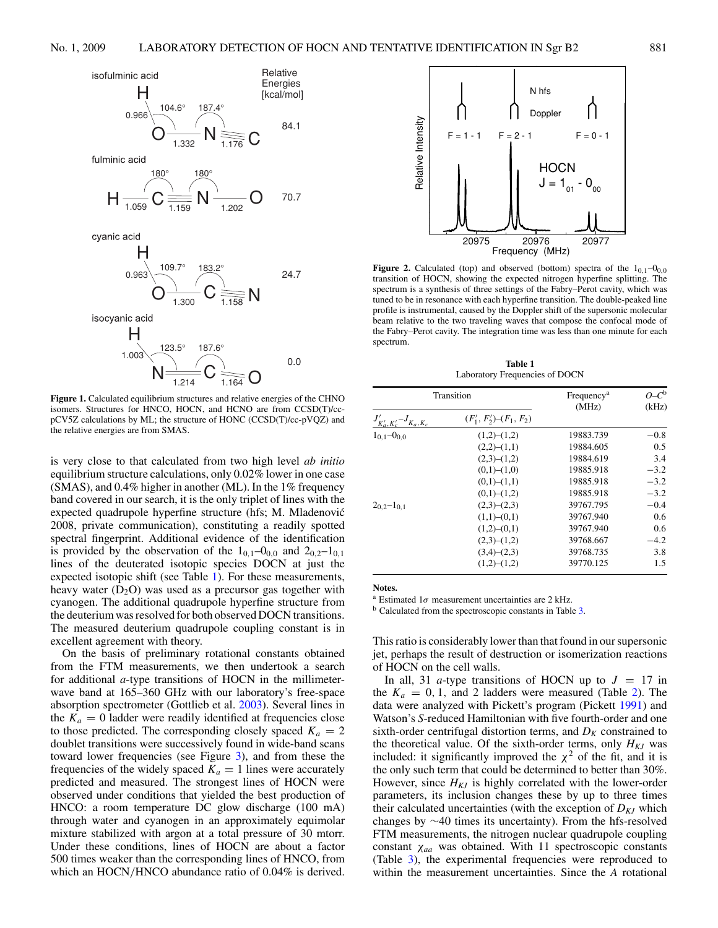<span id="page-1-0"></span>

**Figure 1.** Calculated equilibrium structures and relative energies of the CHNO isomers. Structures for HNCO, HOCN, and HCNO are from CCSD(T)/ccpCV5Z calculations by ML; the structure of HONC (CCSD(T)/cc-pVQZ) and the relative energies are from SMAS.

is very close to that calculated from two high level *ab initio* equilibrium structure calculations, only 0.02% lower in one case (SMAS), and 0.4% higher in another (ML). In the 1% frequency band covered in our search, it is the only triplet of lines with the expected quadrupole hyperfine structure (hfs; M. Mladenovic´ 2008, private communication), constituting a readily spotted spectral fingerprint. Additional evidence of the identification is provided by the observation of the  $1_{0,1}$ – $0_{0,0}$  and  $2_{0,2}$ – $1_{0,1}$ lines of the deuterated isotopic species DOCN at just the expected isotopic shift (see Table 1). For these measurements, heavy water  $(D_2O)$  was used as a precursor gas together with cyanogen. The additional quadrupole hyperfine structure from the deuterium was resolved for both observed DOCN transitions. The measured deuterium quadrupole coupling constant is in excellent agreement with theory.

On the basis of preliminary rotational constants obtained from the FTM measurements, we then undertook a search for additional *a*-type transitions of HOCN in the millimeterwave band at 165–360 GHz with our laboratory's free-space absorption spectrometer (Gottlieb et al. [2003\)](#page-5-0). Several lines in the  $K_a = 0$  ladder were readily identified at frequencies close to those predicted. The corresponding closely spaced  $K_a = 2$ doublet transitions were successively found in wide-band scans toward lower frequencies (see Figure [3\)](#page-2-0), and from these the frequencies of the widely spaced  $K_a = 1$  lines were accurately predicted and measured. The strongest lines of HOCN were observed under conditions that yielded the best production of HNCO: a room temperature DC glow discharge (100 mA) through water and cyanogen in an approximately equimolar mixture stabilized with argon at a total pressure of 30 mtorr. Under these conditions, lines of HOCN are about a factor 500 times weaker than the corresponding lines of HNCO, from which an HOCN/HNCO abundance ratio of 0.04% is derived.



**Figure 2.** Calculated (top) and observed (bottom) spectra of the  $1_{0,1}$ – $0_{0,0}$ transition of HOCN, showing the expected nitrogen hyperfine splitting. The spectrum is a synthesis of three settings of the Fabry–Perot cavity, which was tuned to be in resonance with each hyperfine transition. The double-peaked line profile is instrumental, caused by the Doppler shift of the supersonic molecular beam relative to the two traveling waves that compose the confocal mode of the Fabry–Perot cavity. The integration time was less than one minute for each spectrum.

**Table 1** Laboratory Frequencies of DOCN

| Transition                     |                               | Frequency <sup>a</sup> | $O - C^b$ |
|--------------------------------|-------------------------------|------------------------|-----------|
|                                |                               | (MHz)                  | (kHz)     |
| $J'_{K'_a,K'_c} - J_{K_a,K_c}$ | $(F'_1, F'_2)$ - $(F_1, F_2)$ |                        |           |
| $1_{0.1} - 0_{0.0}$            | (1,2)–(1,2)                   | 19883.739              | $-0.8$    |
|                                | (2,2)–(1,1)                   | 19884.605              | 0.5       |
|                                | $(2,3)-(1,2)$                 | 19884.619              | 3.4       |
|                                | (0,1)–(1,0)                   | 19885.918              | $-3.2$    |
|                                | (0,1)–(1,1)                   | 19885.918              | $-3.2$    |
|                                | (0,1)–(1,2)                   | 19885.918              | $-3.2$    |
| $20.2 - 10.1$                  | (2,3)–(2,3)                   | 39767.795              | $-0.4$    |
|                                | $(1,1)$ – $(0,1)$             | 39767.940              | 0.6       |
|                                | $(1,2)$ – $(0,1)$             | 39767.940              | 0.6       |
|                                | (2,3)–(1,2)                   | 39768.667              | $-4.2$    |
|                                | (3,4)–(2,3)                   | 39768.735              | 3.8       |
|                                | $(1,2)$ – $(1,2)$             | 39770.125              | 1.5       |

#### **Notes.**

<sup>a</sup> Estimated 1*σ* measurement uncertainties are 2 kHz.

<sup>b</sup> Calculated from the spectroscopic constants in Table [3.](#page-3-0)

This ratio is considerably lower than that found in our supersonic jet, perhaps the result of destruction or isomerization reactions of HOCN on the cell walls.

In all, 31 *a*-type transitions of HOCN up to  $J = 17$  in the  $K_a = 0, 1$ , and 2 ladders were measured (Table [2\)](#page-2-0). The data were analyzed with Pickett's program (Pickett [1991\)](#page-5-0) and Watson's *S*-reduced Hamiltonian with five fourth-order and one sixth-order centrifugal distortion terms, and  $D_K$  constrained to the theoretical value. Of the sixth-order terms, only  $H_{KJ}$  was included: it significantly improved the  $\chi^2$  of the fit, and it is the only such term that could be determined to better than 30%. However, since  $H_{KJ}$  is highly correlated with the lower-order parameters, its inclusion changes these by up to three times their calculated uncertainties (with the exception of  $D_{KJ}$  which changes by ∼40 times its uncertainty). From the hfs-resolved FTM measurements, the nitrogen nuclear quadrupole coupling constant *χaa* was obtained. With 11 spectroscopic constants (Table [3\)](#page-3-0), the experimental frequencies were reproduced to within the measurement uncertainties. Since the *A* rotational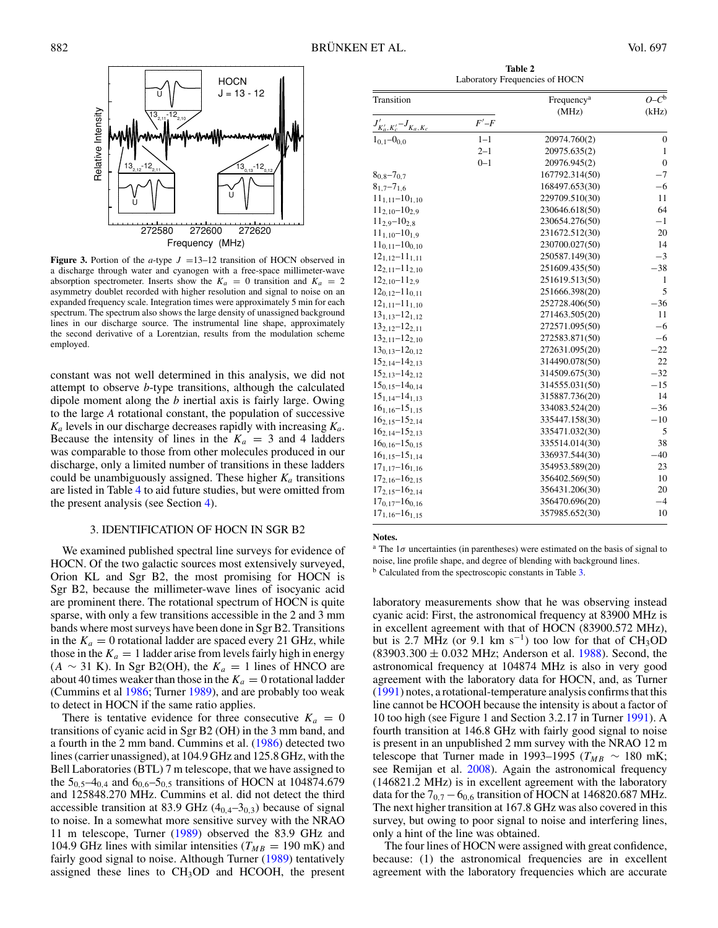<span id="page-2-0"></span>

**Figure 3.** Portion of the *a*-type  $J = 13-12$  transition of HOCN observed in a discharge through water and cyanogen with a free-space millimeter-wave absorption spectrometer. Inserts show the  $K_a = 0$  transition and  $K_a = 2$ asymmetry doublet recorded with higher resolution and signal to noise on an expanded frequency scale. Integration times were approximately 5 min for each spectrum. The spectrum also shows the large density of unassigned background lines in our discharge source. The instrumental line shape, approximately the second derivative of a Lorentzian, results from the modulation scheme employed.

constant was not well determined in this analysis, we did not attempt to observe *b*-type transitions, although the calculated dipole moment along the *b* inertial axis is fairly large. Owing to the large *A* rotational constant, the population of successive  $K_a$  levels in our discharge decreases rapidly with increasing  $K_a$ . Because the intensity of lines in the  $K_a = 3$  and 4 ladders was comparable to those from other molecules produced in our discharge, only a limited number of transitions in these ladders could be unambiguously assigned. These higher  $K_a$  transitions are listed in Table [4](#page-3-0) to aid future studies, but were omitted from the present analysis (see Section [4\)](#page-3-0).

## 3. IDENTIFICATION OF HOCN IN SGR B2

We examined published spectral line surveys for evidence of HOCN. Of the two galactic sources most extensively surveyed, Orion KL and Sgr B2, the most promising for HOCN is Sgr B2, because the millimeter-wave lines of isocyanic acid are prominent there. The rotational spectrum of HOCN is quite sparse, with only a few transitions accessible in the 2 and 3 mm bands where most surveys have been done in Sgr B2. Transitions in the  $K_a = 0$  rotational ladder are spaced every 21 GHz, while those in the  $K_a = 1$  ladder arise from levels fairly high in energy  $(A \sim 31 \text{ K})$ . In Sgr B2(OH), the  $K_a = 1$  lines of HNCO are about 40 times weaker than those in the  $K_a = 0$  rotational ladder (Cummins et al [1986;](#page-5-0) Turner [1989\)](#page-5-0), and are probably too weak to detect in HOCN if the same ratio applies.

There is tentative evidence for three consecutive  $K_a = 0$ transitions of cyanic acid in Sgr B2 (OH) in the 3 mm band, and a fourth in the 2 mm band. Cummins et al. [\(1986\)](#page-5-0) detected two lines (carrier unassigned), at 104.9 GHz and 125.8 GHz, with the Bell Laboratories (BTL) 7 m telescope, that we have assigned to the 50*,*5–40*,*<sup>4</sup> and 60*,*6–50*,*<sup>5</sup> transitions of HOCN at 104874.679 and 125848.270 MHz. Cummins et al. did not detect the third accessible transition at 83.9 GHz  $(4<sub>0,4</sub>-3<sub>0,3</sub>)$  because of signal to noise. In a somewhat more sensitive survey with the NRAO 11 m telescope, Turner [\(1989\)](#page-5-0) observed the 83.9 GHz and 104.9 GHz lines with similar intensities ( $T_{MB} = 190$  mK) and fairly good signal to noise. Although Turner [\(1989\)](#page-5-0) tentatively assigned these lines to  $CH<sub>3</sub>OD$  and HCOOH, the present

**Table 2** Laboratory Frequencies of HOCN

| Transition                       |            | Frequency <sup>a</sup> | $O - C^b$        |
|----------------------------------|------------|------------------------|------------------|
|                                  | $F'$ - $F$ | (MHz)                  | (kHz)            |
| $J'_{K'_a, K'_c} - J_{K_a, K_c}$ |            |                        |                  |
| $1_{0,1} - 0_{0,0}$              | $1 - 1$    | 20974.760(2)           | $\boldsymbol{0}$ |
|                                  | $2 - 1$    | 20975.635(2)           | $\mathbf{1}$     |
|                                  | $0 - 1$    | 20976.945(2)           | $\mathbf{0}$     |
| $8_{0.8} - 7_{0.7}$              |            | 167792.314(50)         | $-7$             |
| $8_{1,7} - 7_{1,6}$              |            | 168497.653(30)         | -6               |
| $11_{1,11} - 10_{1,10}$          |            | 229709.510(30)         | 11               |
| $11_{2,10} - 10_{2,9}$           |            | 230646.618(50)         | 64               |
| $11_{2.9} - 10_{2.8}$            |            | 230654.276(50)         | $-1$             |
| $11_{1.10} - 10_{1.9}$           |            | 231672.512(30)         | 20               |
| $11_{0,11} - 10_{0,10}$          |            | 230700.027(50)         | 14               |
| $12_{1,12}-11_{1,11}$            |            | 250587.149(30)         | $-3$             |
| $12_{2,11} - 11_{2,10}$          |            | 251609.435(50)         | $-38$            |
| $12_{2,10} - 11_{2,9}$           |            | 251619.513(50)         | $\mathbf{1}$     |
| $12_{0.12} - 11_{0.11}$          |            | 251666.398(20)         | 5                |
| $12_{1,11} - 11_{1,10}$          |            | 252728.406(50)         | $-36$            |
| $13_{1,13}-12_{1,12}$            |            | 271463.505(20)         | 11               |
| $13_{2,12}-12_{2,11}$            |            | 272571.095(50)         | $-6$             |
| $13_{2,11}-12_{2,10}$            |            | 272583.871(50)         | $-6$             |
| $13_{0.13}-12_{0.12}$            |            | 272631.095(20)         | $-22$            |
| $15_{2,14}-14_{2,13}$            |            | 314490.078(50)         | 22               |
| $15_{2,13}-14_{2,12}$            |            | 314509.675(30)         | $-32$            |
| $15_{0,15} - 14_{0,14}$          |            | 314555.031(50)         | $-15$            |
| $15_{1,14} - 14_{1,13}$          |            | 315887.736(20)         | 14               |
| $16_{1,16} - 15_{1,15}$          |            | 334083.524(20)         | $-36$            |
| $16_{2,15} - 15_{2,14}$          |            | 335447.158(30)         | $-10$            |
| $16_{2,14}-15_{2,13}$            |            | 335471.032(30)         | 5                |
| $16_{0.16} - 15_{0.15}$          |            | 335514.014(30)         | 38               |
| $16_{1.15} - 15_{1.14}$          |            | 336937.544(30)         | $-40$            |
| $17_{1,17} - 16_{1,16}$          |            | 354953.589(20)         | 23               |
| $17_{2,16} - 16_{2,15}$          |            | 356402.569(50)         | 10               |
| $17_{2,15} - 16_{2,14}$          |            | 356431.206(30)         | 20               |
| $17_{0.17} - 16_{0.16}$          |            | 356470.696(20)         | -4               |
| $17_{1,16} - 16_{1,15}$          |            | 357985.652(30)         | 10               |

#### **Notes.**

<sup>a</sup> The 1*σ* uncertainties (in parentheses) were estimated on the basis of signal to noise, line profile shape, and degree of blending with background lines. <sup>b</sup> Calculated from the spectroscopic constants in Table [3.](#page-3-0)

laboratory measurements show that he was observing instead cyanic acid: First, the astronomical frequency at 83900 MHz is in excellent agreement with that of HOCN (83900.572 MHz), but is 2.7 MHz (or 9.1 km s<sup>-1</sup>) too low for that of CH<sub>3</sub>OD (83903*.*300 ± 0*.*032 MHz; Anderson et al. [1988\)](#page-5-0). Second, the astronomical frequency at 104874 MHz is also in very good agreement with the laboratory data for HOCN, and, as Turner [\(1991\)](#page-5-0) notes, a rotational-temperature analysis confirms that this line cannot be HCOOH because the intensity is about a factor of 10 too high (see Figure 1 and Section 3.2.17 in Turner [1991\)](#page-5-0). A fourth transition at 146.8 GHz with fairly good signal to noise is present in an unpublished 2 mm survey with the NRAO 12 m telescope that Turner made in 1993–1995 ( $T_{MB} \sim 180 \text{ mK}$ ; see Remijan et al. [2008\)](#page-5-0). Again the astronomical frequency (146821.2 MHz) is in excellent agreement with the laboratory data for the  $7_{0,7} - 6_{0,6}$  transition of HOCN at 146820.687 MHz. The next higher transition at 167.8 GHz was also covered in this survey, but owing to poor signal to noise and interfering lines, only a hint of the line was obtained.

The four lines of HOCN were assigned with great confidence, because: (1) the astronomical frequencies are in excellent agreement with the laboratory frequencies which are accurate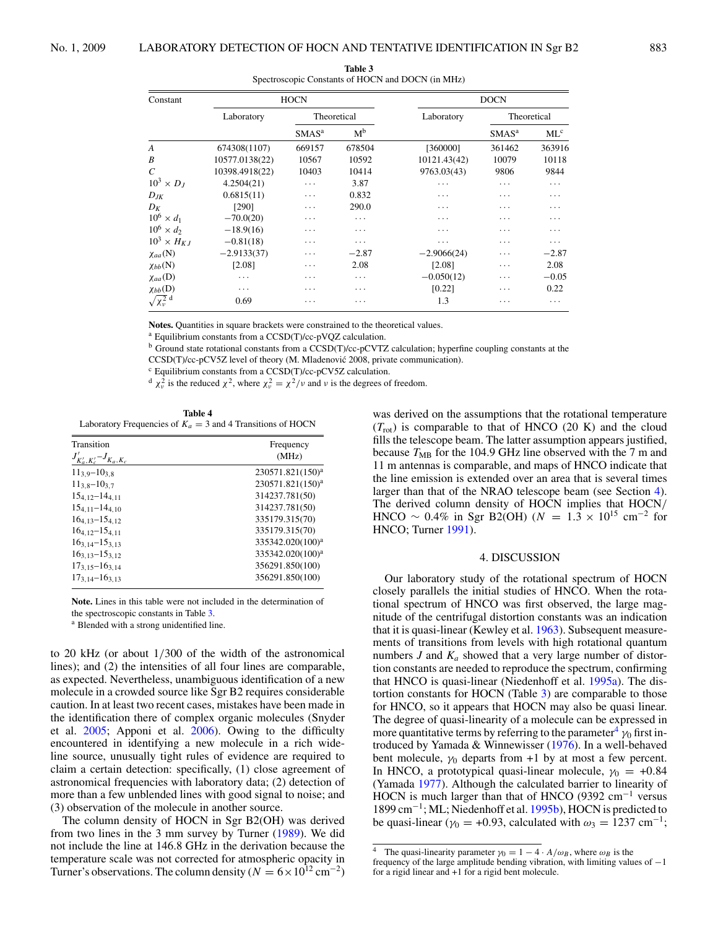|  | 88. |
|--|-----|
|  |     |

<span id="page-3-0"></span>

| Constant                | <b>HOCN</b>    |             |                | <b>DOCN</b>   |                   |                 |
|-------------------------|----------------|-------------|----------------|---------------|-------------------|-----------------|
|                         | Laboratory     | Theoretical |                | Laboratory    | Theoretical       |                 |
|                         |                | $SMAS^a$    | M <sup>b</sup> |               | SMAS <sup>a</sup> | ML <sup>c</sup> |
| A                       | 674308(1107)   | 669157      | 678504         | [360000]      | 361462            | 363916          |
| B                       | 10577.0138(22) | 10567       | 10592          | 10121.43(42)  | 10079             | 10118           |
| $\mathcal{C}$           | 10398.4918(22) | 10403       | 10414          | 9763.03(43)   | 9806              | 9844            |
| $10^3 \times D_I$       | 4.2504(21)     | $\cdots$    | 3.87           | .             | .                 | $\cdots$        |
| $D_{JK}$                | 0.6815(11)     | .           | 0.832          | .             | .                 | .               |
| $D_K$                   | [290]          | .           | 290.0          | .             | .                 | .               |
| $10^6 \times d_1$       | $-70.0(20)$    | .           | $\cdots$       | .             | .                 | .               |
| $10^6 \times d_2$       | $-18.9(16)$    | .           | .              | .             | .                 | .               |
| $10^3 \times H_{KJ}$    | $-0.81(18)$    | .           | .              | .             | .                 | $\cdots$        |
| $\chi_{aa}(N)$          | $-2.9133(37)$  | .           | $-2.87$        | $-2.9066(24)$ | .                 | $-2.87$         |
| $\chi_{bb}$ (N)         | [2.08]         | .           | 2.08           | [2.08]        | .                 | 2.08            |
| $\chi_{aa}(\text{D})$   | $\cdots$       | .           | $\ddots$       | $-0.050(12)$  | .                 | $-0.05$         |
| $\chi_{bb}(\mathbf{D})$ | $\cdots$       | .           | .              | [0.22]        | .                 | 0.22            |
| $\sqrt{\chi_{v}^2}$ d   | 0.69           | .           | .              | 1.3           | .                 | $\cdots$        |

| Table 3                                           |
|---------------------------------------------------|
| Spectroscopic Constants of HOCN and DOCN (in MHz) |

**Notes.** Quantities in square brackets were constrained to the theoretical values.

<sup>a</sup> Equilibrium constants from a CCSD(T)/cc-pVQZ calculation.

<sup>b</sup> Ground state rotational constants from a CCSD(T)/cc-pCVTZ calculation; hyperfine coupling constants at the CCSD(T)/cc-pCV5Z level of theory (M. Mladenović 2008, private communication).

<sup>c</sup> Equilibrium constants from a CCSD(T)/cc-pCV5Z calculation.

 $\chi^2$  is the reduced  $\chi^2$ , where  $\chi^2 = \chi^2/\nu$  and  $\nu$  is the degrees of freedom.

**Table 4** Laboratory Frequencies of  $K_a = 3$  and 4 Transitions of HOCN

| Transition                     | Frequency                    |
|--------------------------------|------------------------------|
| $J'_{K'_a,K'_c} - J_{K_a,K_c}$ | (MHz)                        |
| $11_{3.9} - 10_{3.8}$          | 230571.821(150) <sup>a</sup> |
| $11_{3.8} - 10_{3.7}$          | 230571.821(150) <sup>a</sup> |
| $15_{4.12}-14_{4.11}$          | 314237.781(50)               |
| $15_{4.11}-14_{4.10}$          | 314237.781(50)               |
| $16_{4.13}-15_{4.12}$          | 335179.315(70)               |
| $16_{4.12}-15_{4.11}$          | 335179.315(70)               |
| $16_{3,14}-15_{3,13}$          | 335342.020(100) <sup>a</sup> |
| $163.13 - 153.12$              | 335342.020(100) <sup>a</sup> |
| $17_{3.15}-16_{3.14}$          | 356291.850(100)              |
| $17_{3,14}-16_{3,13}$          | 356291.850(100)              |

**Note.** Lines in this table were not included in the determination of the spectroscopic constants in Table 3.

<sup>a</sup> Blended with a strong unidentified line.

to 20 kHz (or about 1*/*300 of the width of the astronomical lines); and (2) the intensities of all four lines are comparable, as expected. Nevertheless, unambiguous identification of a new molecule in a crowded source like Sgr B2 requires considerable caution. In at least two recent cases, mistakes have been made in the identification there of complex organic molecules (Snyder et al. [2005;](#page-5-0) Apponi et al. [2006\)](#page-5-0). Owing to the difficulty encountered in identifying a new molecule in a rich wideline source, unusually tight rules of evidence are required to claim a certain detection: specifically, (1) close agreement of astronomical frequencies with laboratory data; (2) detection of more than a few unblended lines with good signal to noise; and (3) observation of the molecule in another source.

The column density of HOCN in Sgr B2(OH) was derived from two lines in the 3 mm survey by Turner [\(1989\)](#page-5-0). We did not include the line at 146.8 GHz in the derivation because the temperature scale was not corrected for atmospheric opacity in Turner's observations. The column density ( $N = 6 \times 10^{12}$  cm<sup>-2</sup>) was derived on the assumptions that the rotational temperature  $(T_{\text{rot}})$  is comparable to that of HNCO (20 K) and the cloud fills the telescope beam. The latter assumption appears justified, because  $T_{MB}$  for the 104.9 GHz line observed with the 7 m and 11 m antennas is comparable, and maps of HNCO indicate that the line emission is extended over an area that is several times larger than that of the NRAO telescope beam (see Section 4). The derived column density of HOCN implies that HOCN*/* HNCO ~ 0.4% in Sgr B2(OH) ( $N = 1.3 \times 10^{15}$  cm<sup>-2</sup> for HNCO; Turner [1991\)](#page-5-0).

### 4. DISCUSSION

Our laboratory study of the rotational spectrum of HOCN closely parallels the initial studies of HNCO. When the rotational spectrum of HNCO was first observed, the large magnitude of the centrifugal distortion constants was an indication that it is quasi-linear (Kewley et al. [1963\)](#page-5-0). Subsequent measurements of transitions from levels with high rotational quantum numbers  $J$  and  $K_a$  showed that a very large number of distortion constants are needed to reproduce the spectrum, confirming that HNCO is quasi-linear (Niedenhoff et al. [1995a\)](#page-5-0). The distortion constants for HOCN (Table 3) are comparable to those for HNCO, so it appears that HOCN may also be quasi linear. The degree of quasi-linearity of a molecule can be expressed in more quantitative terms by referring to the parameter<sup>4</sup>  $\gamma_0$  first introduced by Yamada & Winnewisser [\(1976\)](#page-5-0). In a well-behaved bent molecule,  $\gamma_0$  departs from +1 by at most a few percent. In HNCO, a prototypical quasi-linear molecule,  $\gamma_0 = +0.84$ (Yamada [1977\)](#page-5-0). Although the calculated barrier to linearity of HOCN is much larger than that of HNCO (9392 cm<sup>-1</sup> versus 1899 cm−1; ML; Niedenhoff et al. [1995b\)](#page-5-0), HOCN is predicted to be quasi-linear ( $\gamma_0$  = +0.93, calculated with  $\omega_3$  = 1237 cm<sup>-1</sup>;

<sup>&</sup>lt;sup>4</sup> The quasi-linearity parameter  $\gamma_0 = 1 - 4 \cdot A/\omega_B$ , where  $\omega_B$  is the

frequency of the large amplitude bending vibration, with limiting values of −1 for a rigid linear and +1 for a rigid bent molecule.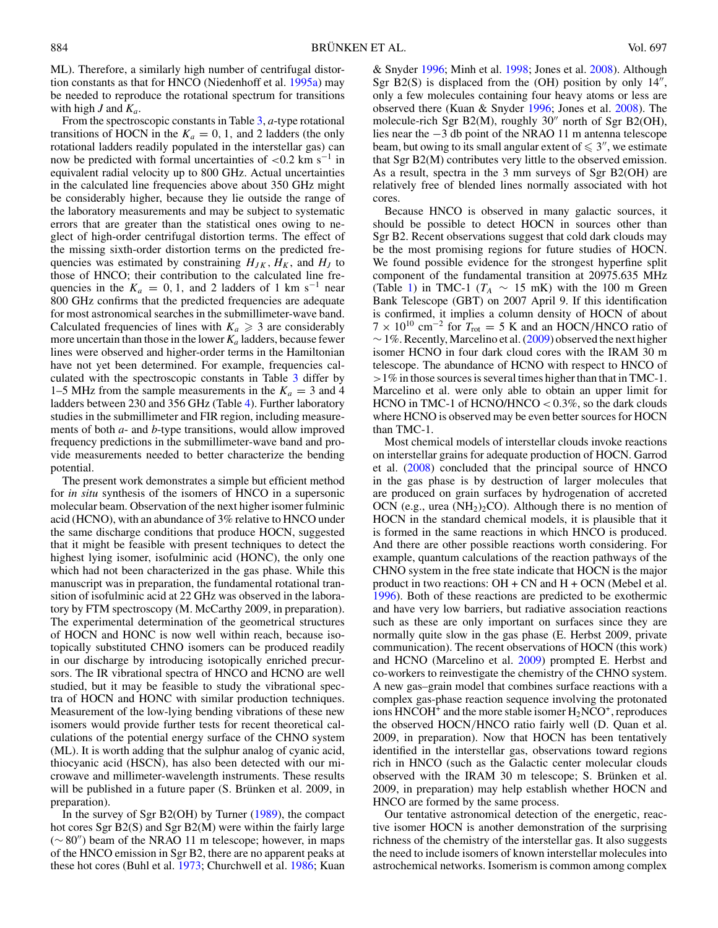ML). Therefore, a similarly high number of centrifugal distortion constants as that for HNCO (Niedenhoff et al. [1995a\)](#page-5-0) may be needed to reproduce the rotational spectrum for transitions with high *J* and *Ka*.

From the spectroscopic constants in Table [3,](#page-3-0) *a*-type rotational transitions of HOCN in the  $K_a = 0, 1$ , and 2 ladders (the only rotational ladders readily populated in the interstellar gas) can now be predicted with formal uncertainties of *<*0.2 km s−<sup>1</sup> in equivalent radial velocity up to 800 GHz. Actual uncertainties in the calculated line frequencies above about 350 GHz might be considerably higher, because they lie outside the range of the laboratory measurements and may be subject to systematic errors that are greater than the statistical ones owing to neglect of high-order centrifugal distortion terms. The effect of the missing sixth-order distortion terms on the predicted frequencies was estimated by constraining  $H_{JK}$ ,  $H_K$ , and  $H_J$  to those of HNCO; their contribution to the calculated line frequencies in the  $K_a = 0, 1$ , and 2 ladders of 1 km s<sup>-1</sup> near 800 GHz confirms that the predicted frequencies are adequate for most astronomical searches in the submillimeter-wave band. Calculated frequencies of lines with  $K_a \geq 3$  are considerably more uncertain than those in the lower  $K_a$  ladders, because fewer lines were observed and higher-order terms in the Hamiltonian have not yet been determined. For example, frequencies calculated with the spectroscopic constants in Table [3](#page-3-0) differ by 1–5 MHz from the sample measurements in the  $K_a = 3$  and 4 ladders between 230 and 356 GHz (Table [4\)](#page-3-0). Further laboratory studies in the submillimeter and FIR region, including measurements of both *a*- and *b*-type transitions, would allow improved frequency predictions in the submillimeter-wave band and provide measurements needed to better characterize the bending potential.

The present work demonstrates a simple but efficient method for *in situ* synthesis of the isomers of HNCO in a supersonic molecular beam. Observation of the next higher isomer fulminic acid (HCNO), with an abundance of 3% relative to HNCO under the same discharge conditions that produce HOCN, suggested that it might be feasible with present techniques to detect the highest lying isomer, isofulminic acid (HONC), the only one which had not been characterized in the gas phase. While this manuscript was in preparation, the fundamental rotational transition of isofulminic acid at 22 GHz was observed in the laboratory by FTM spectroscopy (M. McCarthy 2009, in preparation). The experimental determination of the geometrical structures of HOCN and HONC is now well within reach, because isotopically substituted CHNO isomers can be produced readily in our discharge by introducing isotopically enriched precursors. The IR vibrational spectra of HNCO and HCNO are well studied, but it may be feasible to study the vibrational spectra of HOCN and HONC with similar production techniques. Measurement of the low-lying bending vibrations of these new isomers would provide further tests for recent theoretical calculations of the potential energy surface of the CHNO system (ML). It is worth adding that the sulphur analog of cyanic acid, thiocyanic acid (HSCN), has also been detected with our microwave and millimeter-wavelength instruments. These results will be published in a future paper (S. Brünken et al. 2009, in preparation).

In the survey of Sgr B2(OH) by Turner [\(1989\)](#page-5-0), the compact hot cores Sgr B2(S) and Sgr B2(M) were within the fairly large  $(\sim 80'')$  beam of the NRAO 11 m telescope; however, in maps of the HNCO emission in Sgr B2, there are no apparent peaks at these hot cores (Buhl et al. [1973;](#page-5-0) Churchwell et al. [1986;](#page-5-0) Kuan

& Snyder [1996;](#page-5-0) Minh et al. [1998;](#page-5-0) Jones et al. [2008\)](#page-5-0). Although Sgr  $B2(S)$  is displaced from the (OH) position by only  $14''$ , only a few molecules containing four heavy atoms or less are observed there (Kuan & Snyder [1996;](#page-5-0) Jones et al. [2008\)](#page-5-0). The molecule-rich Sgr B2(M), roughly 30" north of Sgr B2(OH), lies near the −3 db point of the NRAO 11 m antenna telescope beam, but owing to its small angular extent of  $\leqslant 3''$ , we estimate that Sgr B2(M) contributes very little to the observed emission. As a result, spectra in the 3 mm surveys of Sgr B2(OH) are relatively free of blended lines normally associated with hot cores.

Because HNCO is observed in many galactic sources, it should be possible to detect HOCN in sources other than Sgr B2. Recent observations suggest that cold dark clouds may be the most promising regions for future studies of HOCN. We found possible evidence for the strongest hyperfine split component of the fundamental transition at 20975.635 MHz (Table [1\)](#page-1-0) in TMC-1 ( $T_A \sim 15$  mK) with the 100 m Green Bank Telescope (GBT) on 2007 April 9. If this identification is confirmed, it implies a column density of HOCN of about  $7 \times 10^{10}$  cm<sup>-2</sup> for  $T_{\text{rot}} = 5$  K and an HOCN/HNCO ratio of  $\sim$  1%. Recently, Marcelino et al. [\(2009\)](#page-5-0) observed the next higher isomer HCNO in four dark cloud cores with the IRAM 30 m telescope. The abundance of HCNO with respect to HNCO of *>*1% in those sources is several times higher than that in TMC-1. Marcelino et al. were only able to obtain an upper limit for HCNO in TMC-1 of HCNO/HNCO *<* 0.3%, so the dark clouds where HCNO is observed may be even better sources for HOCN than TMC-1.

Most chemical models of interstellar clouds invoke reactions on interstellar grains for adequate production of HOCN. Garrod et al. [\(2008\)](#page-5-0) concluded that the principal source of HNCO in the gas phase is by destruction of larger molecules that are produced on grain surfaces by hydrogenation of accreted OCN (e.g., urea  $(NH_2)_2$ CO). Although there is no mention of HOCN in the standard chemical models, it is plausible that it is formed in the same reactions in which HNCO is produced. And there are other possible reactions worth considering. For example, quantum calculations of the reaction pathways of the CHNO system in the free state indicate that HOCN is the major product in two reactions:  $OH + CN$  and  $H + OCN$  (Mebel et al. [1996\)](#page-5-0). Both of these reactions are predicted to be exothermic and have very low barriers, but radiative association reactions such as these are only important on surfaces since they are normally quite slow in the gas phase (E. Herbst 2009, private communication). The recent observations of HOCN (this work) and HCNO (Marcelino et al. [2009\)](#page-5-0) prompted E. Herbst and co-workers to reinvestigate the chemistry of the CHNO system. A new gas–grain model that combines surface reactions with a complex gas-phase reaction sequence involving the protonated ions  $HNCOH<sup>+</sup>$  and the more stable isomer  $H<sub>2</sub>NCO<sup>+</sup>$ , reproduces the observed HOCN*/*HNCO ratio fairly well (D. Quan et al. 2009, in preparation). Now that HOCN has been tentatively identified in the interstellar gas, observations toward regions rich in HNCO (such as the Galactic center molecular clouds observed with the IRAM 30 m telescope; S. Brünken et al. 2009, in preparation) may help establish whether HOCN and HNCO are formed by the same process.

Our tentative astronomical detection of the energetic, reactive isomer HOCN is another demonstration of the surprising richness of the chemistry of the interstellar gas. It also suggests the need to include isomers of known interstellar molecules into astrochemical networks. Isomerism is common among complex